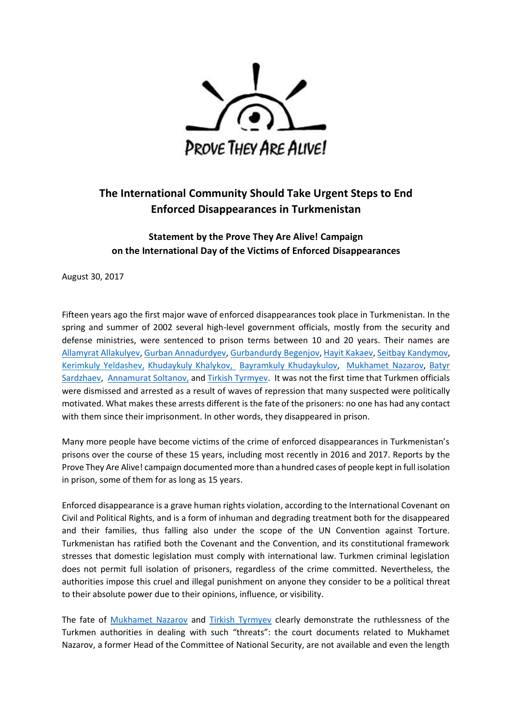

## **The International Community Should Take Urgent Steps to End Enforced Disappearances in Turkmenistan**

## **Statement by the Prove They Are Alive! Campaign on the International Day of the Victims of Enforced Disappearances**

August 30, 2017

Fifteen years ago the first major wave of enforced disappearances took place in Turkmenistan. In the spring and summer of 2002 several high-level government officials, mostly from the security and defense ministries, were sentenced to prison terms between 10 and 20 years. Their names are [Allamyrat Allakulyev,](https://provetheyarealive.org/the-disappeared/5-allakulyev-allamyrat/) Gurban [Annadurdyev,](https://provetheyarealive.org/the-disappeared/6-annadurdyev-gurban/) [Gurbandurdy](https://provetheyarealive.org/the-disappeared/15-begenjov-gurbandurdy/) Begenjov[, Hayit Kakaev,](https://provetheyarealive.org/the-disappeared/43-kakaev-hayit/) [Seitbay Kandymov,](https://provetheyarealive.org/the-disappeared/44-kandymov-gandymov-seitbay/) [Kerimkuly Yeldashev,](http://provetheyarealive.org/the-disappeared/45-kerimkuly-yeldashev/) [Khudaykuly Khalykov,](https://provetheyarealive.org/the-disappeared/47-khalykov-khudaykuly/) [Bayramkuly Khudaykulov,](https://provetheyarealive.org/the-disappeared/53-khudaykulov-bayramkuli/) [Mukhamet](https://provetheyarealive.org/the-disappeared/60-nazarov-mukhamet/) Nazarov, [Batyr](https://provetheyarealive.org/the-disappeared/73-sardzhaev-batyr/)  [Sardzhaev,](https://provetheyarealive.org/the-disappeared/73-sardzhaev-batyr/) [Annamurat](https://provetheyarealive.org/the-disappeared/77-soltanov-annamurat/) Soltanov, an[d Tirkish Tyrmyev.](https://provetheyarealive.org/the-disappeared/81-tyrmyev-tirkish/) It was not the first time that Turkmen officials were dismissed and arrested as a result of waves of repression that many suspected were politically motivated. What makes these arrests different is the fate of the prisoners: no one has had any contact with them since their imprisonment. In other words, they disappeared in prison.

Many more people have become victims of the crime of enforced disappearances in Turkmenistan's prisons over the course of these 15 years, including most recently in 2016 and 2017. Reports by the Prove They Are Alive! campaign documented more than a hundred cases of people kept in full isolation in prison, some of them for as long as 15 years.

Enforced disappearance is a grave human rights violation, according to the International Covenant on Civil and Political Rights, and is a form of inhuman and degrading treatment both for the disappeared and their families, thus falling also under the scope of the UN Convention against Torture. Turkmenistan has ratified both the Covenant and the Convention, and its constitutional framework stresses that domestic legislation must comply with international law. Turkmen criminal legislation does not permit full isolation of prisoners, regardless of the crime committed. Nevertheless, the authorities impose this cruel and illegal punishment on anyone they consider to be a political threat to their absolute power due to their opinions, influence, or visibility.

The fate of [Mukhamet Nazarov](https://provetheyarealive.org/the-disappeared/60-nazarov-mukhamet/) and [Tirkish Tyrmyev](https://provetheyarealive.org/the-disappeared/81-tyrmyev-tirkish/) clearly demonstrate the ruthlessness of the Turkmen authorities in dealing with such "threats": the court documents related to Mukhamet Nazarov, a former Head of the Committee of National Security, are not available and even the length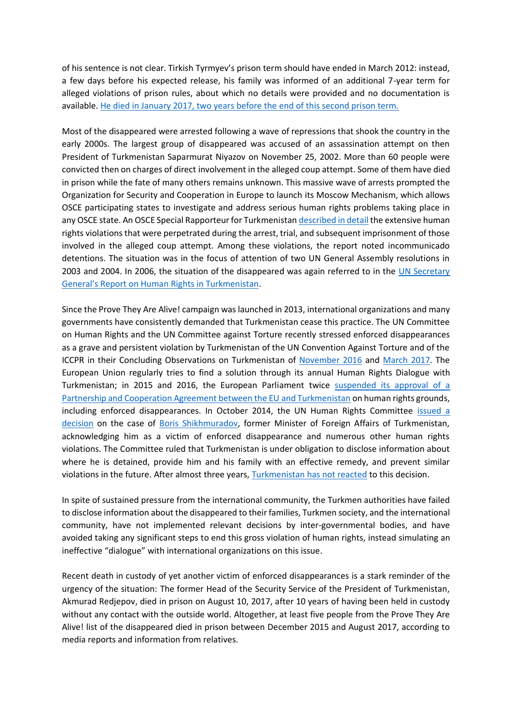of his sentence is not clear. Tirkish Tyrmyev's prison term should have ended in March 2012: instead, a few days before his expected release, his family was informed of an additional 7-year term for alleged violations of prison rules, about which no details were provided and no documentation is available. He died in January 2017, two [years before the end of this second prison term.](https://provetheyarealive.org/the-state-of-political-prisoners-in-turkmenistan-demands-immediate-action-by-the-international-community/) 

Most of the disappeared were arrested following a wave of repressions that shook the country in the early 2000s. The largest group of disappeared was accused of an assassination attempt on then President of Turkmenistan Saparmurat Niyazov on November 25, 2002. More than 60 people were convicted then on charges of direct involvement in the alleged coup attempt. Some of them have died in prison while the fate of many others remains unknown. This massive wave of arrests prompted the Organization for Security and Cooperation in Europe to launch its Moscow Mechanism, which allows OSCE participating states to investigate and address serious human rights problems taking place in any OSCE state. An OSCE Special Rapporteur for Turkmenista[n described in detail](http://www.osce.org/files/documents/0/5/18372.pdf) the extensive human rights violations that were perpetrated during the arrest, trial, and subsequent imprisonment of those involved in the alleged coup attempt. Among these violations, the report noted incommunicado detentions. The situation was in the focus of attention of two UN General Assembly resolutions in 2003 and 2004. In 2006, the situation of the disappeared was again referred to in the [UN Secretary](https://documents-dds-ny.un.org/doc/UNDOC/GEN/N06/552/49/PDF/N0655249.pdf?OpenElement)  [General's Report on Human Rights in Turkmenistan](https://documents-dds-ny.un.org/doc/UNDOC/GEN/N06/552/49/PDF/N0655249.pdf?OpenElement).

Since the Prove They Are Alive! campaign was launched in 2013, international organizations and many governments have consistently demanded that Turkmenistan cease this practice. The UN Committee on Human Rights and the UN Committee against Torture recently stressed enforced disappearances as a grave and persistent violation by Turkmenistan of the UN Convention Against Torture and of the ICCPR in their Concluding Observations on Turkmenistan of [November 2016](http://tbinternet.ohchr.org/_layouts/treatybodyexternal/Download.aspx?symbolno=CAT/C/TKM/CO/2&Lang=En) and [March 2017.](http://tbinternet.ohchr.org/_layouts/treatybodyexternal/Download.aspx?symbolno=CCPR/C/TKM/CO/2&Lang=En) The European Union regularly tries to find a solution through its annual Human Rights Dialogue with Turkmenistan; in 2015 and 2016, the European Parliament twice [suspended its approval](http://www.europarl.europa.eu/RegData/etudes/ATAG/2016/583846/EPRS_ATA(2016)583846_EN.pdf) of a [Partnership and Cooperation Agreement between the EU and Turkmenistan](http://www.europarl.europa.eu/RegData/etudes/ATAG/2016/583846/EPRS_ATA(2016)583846_EN.pdf) on human rights grounds, including enforced disappearances. In October 2014, the UN Human Rights Committee [issued a](http://docstore.ohchr.org/SelfServices/FilesHandler.ashx?enc=6QkG1d%2FPPRiCAqhKb7yhsukPtYsnxNH1DBeueuCbK4gjvkz7RiSjoooNDhey%2FtyT7QMJ5pz0ZW3sN8bi2L8MN1b007I7DzcfFoiOfzozvN8SPaAGolp0ku%2BH6i%2FQ3h0B063deLVS09O0UyZZnWdkwA%3D%3D)  [decision](http://docstore.ohchr.org/SelfServices/FilesHandler.ashx?enc=6QkG1d%2FPPRiCAqhKb7yhsukPtYsnxNH1DBeueuCbK4gjvkz7RiSjoooNDhey%2FtyT7QMJ5pz0ZW3sN8bi2L8MN1b007I7DzcfFoiOfzozvN8SPaAGolp0ku%2BH6i%2FQ3h0B063deLVS09O0UyZZnWdkwA%3D%3D) on the case of [Boris Shikhmuradov,](https://provetheyarealive.org/the-disappeared/75-shikhmuradov-boris/) former Minister of Foreign Affairs of Turkmenistan, acknowledging him as a victim of enforced disappearance and numerous other human rights violations. The Committee ruled that Turkmenistan is under obligation to disclose information about where he is detained, provide him and his family with an effective remedy, and prevent similar violations in the future. After almost three years, [Turkmenistan has not reacte](https://provetheyarealive.org/on-forced-disappearances-in-turkmenistan-and-the-case-of-boris-shikhmuradov/)d to this decision.

In spite of sustained pressure from the international community, the Turkmen authorities have failed to disclose information about the disappeared to their families, Turkmen society, and the international community, have not implemented relevant decisions by inter-governmental bodies, and have avoided taking any significant steps to end this gross violation of human rights, instead simulating an ineffective "dialogue" with international organizations on this issue.

Recent death in custody of yet another victim of enforced disappearances is a stark reminder of the urgency of the situation: The former Head of the Security Service of the President of Turkmenistan, Akmurad Redjepov, died in prison on August 10, 2017, after 10 years of having been held in custody without any contact with the outside world. Altogether, at least five people from the Prove They Are Alive! list of the disappeared died in prison between December 2015 and August 2017, according to media reports and information from relatives.